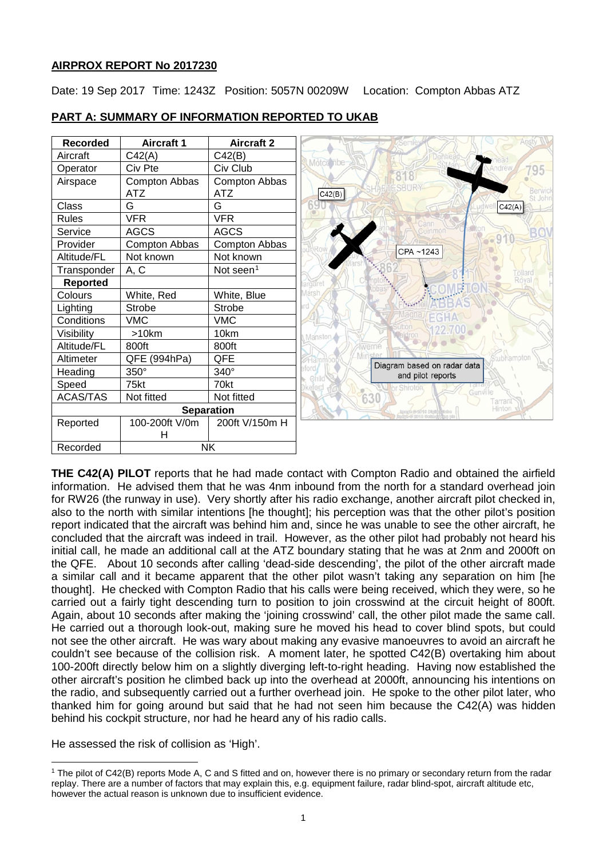# **AIRPROX REPORT No 2017230**

Date: 19 Sep 2017 Time: 1243Z Position: 5057N 00209W Location: Compton Abbas ATZ

| <b>Recorded</b> | <b>Aircraft 1</b> | <b>Aircraft 2</b>     |
|-----------------|-------------------|-----------------------|
| Aircraft        | C42(A)            | C42(B)                |
| Operator        | Civ Pte           | Civ Club              |
| Airspace        | Compton Abbas     | Compton Abbas         |
|                 | <b>ATZ</b>        | <b>ATZ</b>            |
| Class           | G                 | G                     |
| <b>Rules</b>    | <b>VFR</b>        | <b>VFR</b>            |
| Service         | <b>AGCS</b>       | <b>AGCS</b>           |
| Provider        | Compton Abbas     | Compton Abbas         |
| Altitude/FL     | Not known         | Not known             |
| Transponder     | A, C              | Not seen <sup>1</sup> |
| <b>Reported</b> |                   |                       |
| Colours         | White, Red        | White, Blue           |
| Lighting        | <b>Strobe</b>     | Strobe                |
| Conditions      | <b>VMC</b>        | <b>VMC</b>            |
| Visibility      | $>10$ km          | 10km                  |
| Altitude/FL     | 800ft             | 800ft                 |
| Altimeter       | QFE (994hPa)      | QFE                   |
| Heading         | 350°              | 340°                  |
| Speed           | 75kt              | 70kt                  |
| <b>ACAS/TAS</b> | Not fitted        | Not fitted            |
|                 |                   | <b>Separation</b>     |
| Reported        | 100-200ft V/0m    | 200ft V/150m H        |
|                 | н                 |                       |
| Recorded        | <b>NK</b>         |                       |

### **PART A: SUMMARY OF INFORMATION REPORTED TO UKAB**

**THE C42(A) PILOT** reports that he had made contact with Compton Radio and obtained the airfield information. He advised them that he was 4nm inbound from the north for a standard overhead join for RW26 (the runway in use). Very shortly after his radio exchange, another aircraft pilot checked in, also to the north with similar intentions [he thought]; his perception was that the other pilot's position report indicated that the aircraft was behind him and, since he was unable to see the other aircraft, he concluded that the aircraft was indeed in trail. However, as the other pilot had probably not heard his initial call, he made an additional call at the ATZ boundary stating that he was at 2nm and 2000ft on the QFE. About 10 seconds after calling 'dead-side descending', the pilot of the other aircraft made a similar call and it became apparent that the other pilot wasn't taking any separation on him [he thought]. He checked with Compton Radio that his calls were being received, which they were, so he carried out a fairly tight descending turn to position to join crosswind at the circuit height of 800ft. Again, about 10 seconds after making the 'joining crosswind' call, the other pilot made the same call. He carried out a thorough look-out, making sure he moved his head to cover blind spots, but could not see the other aircraft. He was wary about making any evasive manoeuvres to avoid an aircraft he couldn't see because of the collision risk. A moment later, he spotted C42(B) overtaking him about 100-200ft directly below him on a slightly diverging left-to-right heading. Having now established the other aircraft's position he climbed back up into the overhead at 2000ft, announcing his intentions on the radio, and subsequently carried out a further overhead join. He spoke to the other pilot later, who thanked him for going around but said that he had not seen him because the C42(A) was hidden behind his cockpit structure, nor had he heard any of his radio calls.

He assessed the risk of collision as 'High'.

 $\overline{\phantom{a}}$ 

<span id="page-0-0"></span><sup>1</sup> The pilot of C42(B) reports Mode A, C and S fitted and on, however there is no primary or secondary return from the radar replay. There are a number of factors that may explain this, e.g. equipment failure, radar blind-spot, aircraft altitude etc, however the actual reason is unknown due to insufficient evidence.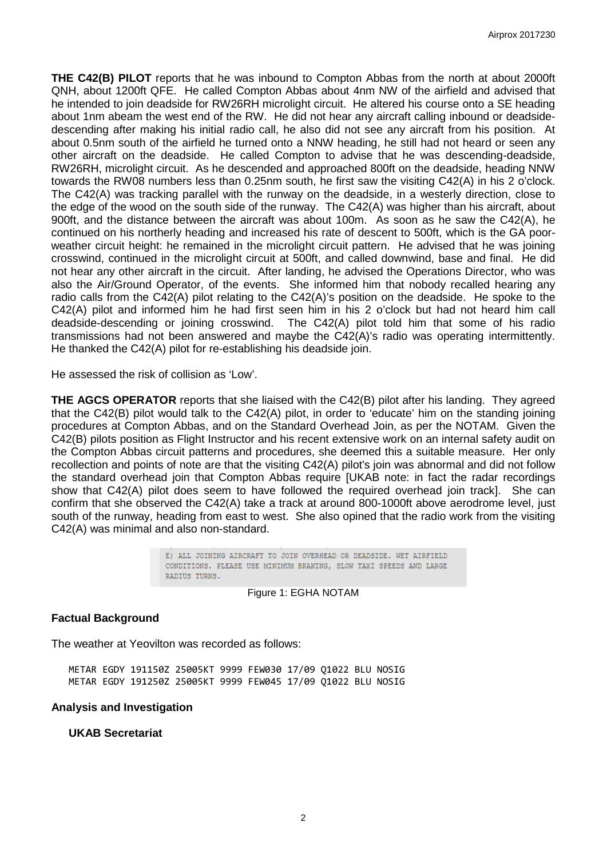**THE C42(B) PILOT** reports that he was inbound to Compton Abbas from the north at about 2000ft QNH, about 1200ft QFE. He called Compton Abbas about 4nm NW of the airfield and advised that he intended to join deadside for RW26RH microlight circuit. He altered his course onto a SE heading about 1nm abeam the west end of the RW. He did not hear any aircraft calling inbound or deadsidedescending after making his initial radio call, he also did not see any aircraft from his position. At about 0.5nm south of the airfield he turned onto a NNW heading, he still had not heard or seen any other aircraft on the deadside. He called Compton to advise that he was descending-deadside, RW26RH, microlight circuit. As he descended and approached 800ft on the deadside, heading NNW towards the RW08 numbers less than 0.25nm south, he first saw the visiting C42(A) in his 2 o'clock. The C42(A) was tracking parallel with the runway on the deadside, in a westerly direction, close to the edge of the wood on the south side of the runway. The C42(A) was higher than his aircraft, about 900ft, and the distance between the aircraft was about 100m. As soon as he saw the C42(A), he continued on his northerly heading and increased his rate of descent to 500ft, which is the GA poorweather circuit height: he remained in the microlight circuit pattern. He advised that he was joining crosswind, continued in the microlight circuit at 500ft, and called downwind, base and final. He did not hear any other aircraft in the circuit. After landing, he advised the Operations Director, who was also the Air/Ground Operator, of the events. She informed him that nobody recalled hearing any radio calls from the C42(A) pilot relating to the C42(A)'s position on the deadside. He spoke to the C42(A) pilot and informed him he had first seen him in his 2 o'clock but had not heard him call deadside-descending or joining crosswind. The C42(A) pilot told him that some of his radio transmissions had not been answered and maybe the C42(A)'s radio was operating intermittently. He thanked the C42(A) pilot for re-establishing his deadside join.

He assessed the risk of collision as 'Low'.

**THE AGCS OPERATOR** reports that she liaised with the C42(B) pilot after his landing. They agreed that the C42(B) pilot would talk to the C42(A) pilot, in order to 'educate' him on the standing joining procedures at Compton Abbas, and on the Standard Overhead Join, as per the NOTAM. Given the C42(B) pilots position as Flight Instructor and his recent extensive work on an internal safety audit on the Compton Abbas circuit patterns and procedures, she deemed this a suitable measure. Her only recollection and points of note are that the visiting C42(A) pilot's join was abnormal and did not follow the standard overhead join that Compton Abbas require [UKAB note: in fact the radar recordings show that C42(A) pilot does seem to have followed the required overhead join track]. She can confirm that she observed the C42(A) take a track at around 800-1000ft above aerodrome level, just south of the runway, heading from east to west. She also opined that the radio work from the visiting C42(A) was minimal and also non-standard.

> E) ALL JOINING AIRCRAFT TO JOIN OVERHEAD OR DEADSIDE. WET AIRFIELD CONDITIONS. PLEASE USE MINIMUM BRAKING, SLOW TAXI SPEEDS AND LARGE RADIUS TURNS.

> > Figure 1: EGHA NOTAM

### **Factual Background**

The weather at Yeovilton was recorded as follows:

METAR EGDY 191150Z 25005KT 9999 FEW030 17/09 Q1022 BLU NOSIG METAR EGDY 191250Z 25005KT 9999 FEW045 17/09 Q1022 BLU NOSIG

#### **Analysis and Investigation**

**UKAB Secretariat**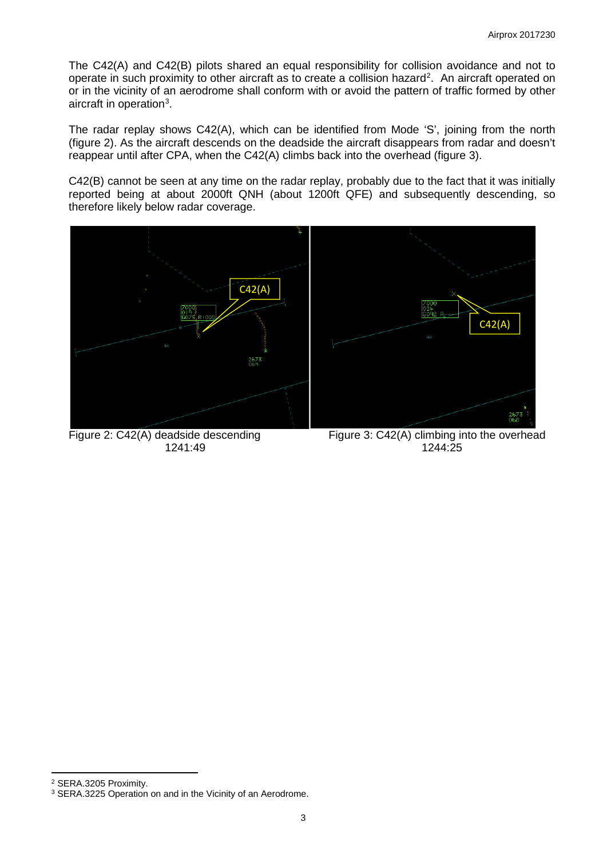The C42(A) and C42(B) pilots shared an equal responsibility for collision avoidance and not to operate in such proximity to other aircraft as to create a collision hazard<sup>[2](#page-2-0)</sup>. An aircraft operated on or in the vicinity of an aerodrome shall conform with or avoid the pattern of traffic formed by other aircraft in operation<sup>[3](#page-2-1)</sup>.

The radar replay shows C42(A), which can be identified from Mode 'S', joining from the north (figure 2). As the aircraft descends on the deadside the aircraft disappears from radar and doesn't reappear until after CPA, when the C42(A) climbs back into the overhead (figure 3).

C42(B) cannot be seen at any time on the radar replay, probably due to the fact that it was initially reported being at about 2000ft QNH (about 1200ft QFE) and subsequently descending, so therefore likely below radar coverage.



1241:49



Figure 2: C42(A) deadside descending Figure 3: C42(A) climbing into the overhead<br>1241:49<br>1244:25

l

<span id="page-2-0"></span><sup>2</sup> SERA.3205 Proximity.

<span id="page-2-1"></span><sup>&</sup>lt;sup>3</sup> SERA.3225 Operation on and in the Vicinity of an Aerodrome.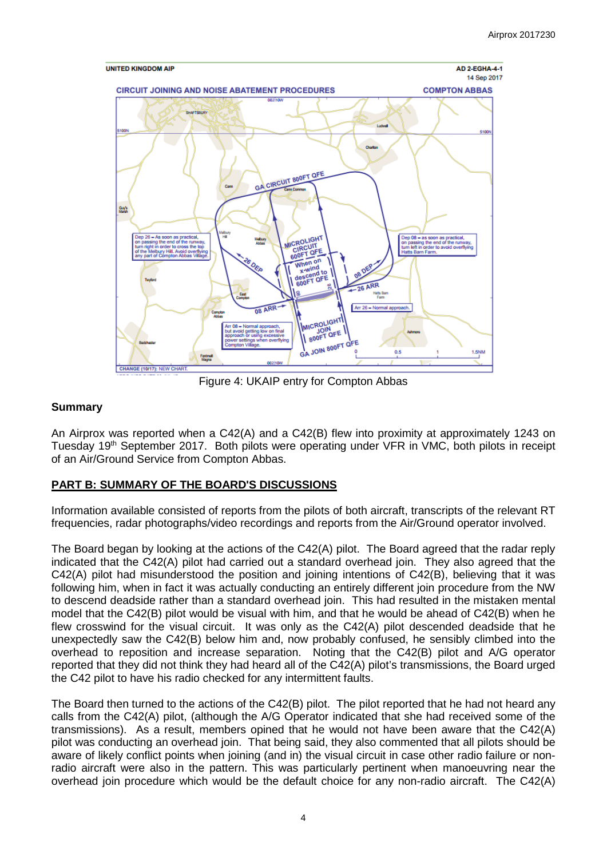

Figure 4: UKAIP entry for Compton Abbas

# **Summary**

An Airprox was reported when a C42(A) and a C42(B) flew into proximity at approximately 1243 on Tuesday 19<sup>th</sup> September 2017. Both pilots were operating under VFR in VMC, both pilots in receipt of an Air/Ground Service from Compton Abbas.

# **PART B: SUMMARY OF THE BOARD'S DISCUSSIONS**

Information available consisted of reports from the pilots of both aircraft, transcripts of the relevant RT frequencies, radar photographs/video recordings and reports from the Air/Ground operator involved.

The Board began by looking at the actions of the C42(A) pilot. The Board agreed that the radar reply indicated that the C42(A) pilot had carried out a standard overhead join. They also agreed that the C42(A) pilot had misunderstood the position and joining intentions of C42(B), believing that it was following him, when in fact it was actually conducting an entirely different join procedure from the NW to descend deadside rather than a standard overhead join. This had resulted in the mistaken mental model that the C42(B) pilot would be visual with him, and that he would be ahead of C42(B) when he flew crosswind for the visual circuit. It was only as the C42(A) pilot descended deadside that he unexpectedly saw the C42(B) below him and, now probably confused, he sensibly climbed into the overhead to reposition and increase separation. Noting that the C42(B) pilot and A/G operator reported that they did not think they had heard all of the C42(A) pilot's transmissions, the Board urged the C42 pilot to have his radio checked for any intermittent faults.

The Board then turned to the actions of the C42(B) pilot. The pilot reported that he had not heard any calls from the C42(A) pilot, (although the A/G Operator indicated that she had received some of the transmissions). As a result, members opined that he would not have been aware that the C42(A) pilot was conducting an overhead join. That being said, they also commented that all pilots should be aware of likely conflict points when joining (and in) the visual circuit in case other radio failure or nonradio aircraft were also in the pattern. This was particularly pertinent when manoeuvring near the overhead join procedure which would be the default choice for any non-radio aircraft. The C42(A)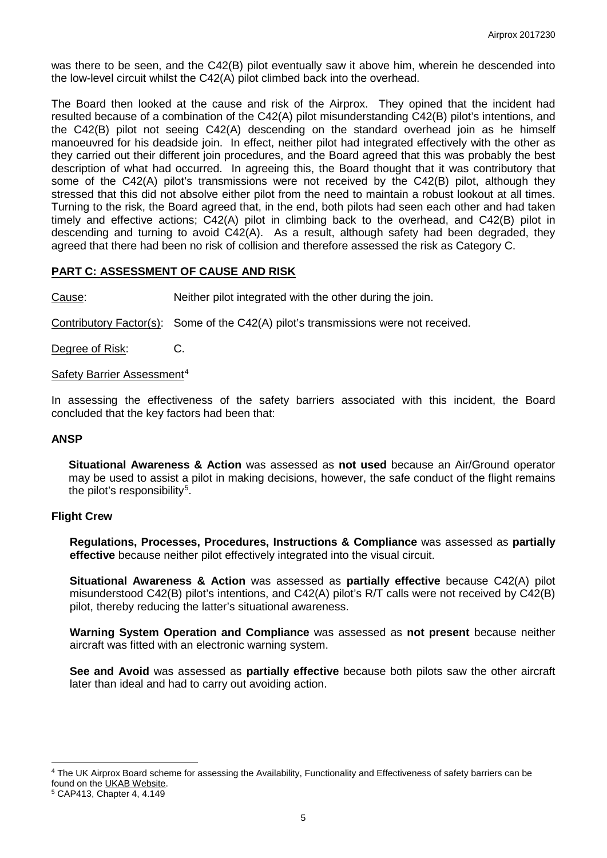was there to be seen, and the C42(B) pilot eventually saw it above him, wherein he descended into the low-level circuit whilst the C42(A) pilot climbed back into the overhead.

The Board then looked at the cause and risk of the Airprox. They opined that the incident had resulted because of a combination of the C42(A) pilot misunderstanding C42(B) pilot's intentions, and the C42(B) pilot not seeing C42(A) descending on the standard overhead join as he himself manoeuvred for his deadside join. In effect, neither pilot had integrated effectively with the other as they carried out their different join procedures, and the Board agreed that this was probably the best description of what had occurred. In agreeing this, the Board thought that it was contributory that some of the C42(A) pilot's transmissions were not received by the C42(B) pilot, although they stressed that this did not absolve either pilot from the need to maintain a robust lookout at all times. Turning to the risk, the Board agreed that, in the end, both pilots had seen each other and had taken timely and effective actions; C42(A) pilot in climbing back to the overhead, and C42(B) pilot in descending and turning to avoid C42(A). As a result, although safety had been degraded, they agreed that there had been no risk of collision and therefore assessed the risk as Category C.

### **PART C: ASSESSMENT OF CAUSE AND RISK**

Cause: Neither pilot integrated with the other during the join.

Contributory Factor(s): Some of the C42(A) pilot's transmissions were not received.

Degree of Risk: C.

Safety Barrier Assessment<sup>[4](#page-4-0)</sup>

In assessing the effectiveness of the safety barriers associated with this incident, the Board concluded that the key factors had been that:

### **ANSP**

**Situational Awareness & Action** was assessed as **not used** because an Air/Ground operator may be used to assist a pilot in making decisions, however, the safe conduct of the flight remains the pilot's responsibility<sup>[5](#page-4-1)</sup>.

### **Flight Crew**

**Regulations, Processes, Procedures, Instructions & Compliance** was assessed as **partially effective** because neither pilot effectively integrated into the visual circuit.

**Situational Awareness & Action** was assessed as **partially effective** because C42(A) pilot misunderstood C42(B) pilot's intentions, and C42(A) pilot's R/T calls were not received by C42(B) pilot, thereby reducing the latter's situational awareness.

**Warning System Operation and Compliance** was assessed as **not present** because neither aircraft was fitted with an electronic warning system.

**See and Avoid** was assessed as **partially effective** because both pilots saw the other aircraft later than ideal and had to carry out avoiding action.

 $\overline{\phantom{a}}$ 

<span id="page-4-0"></span><sup>4</sup> The UK Airprox Board scheme for assessing the Availability, Functionality and Effectiveness of safety barriers can be found on the [UKAB Website.](http://www.airproxboard.org.uk/Learn-more/Airprox-Barrier-Assessment/)

<span id="page-4-1"></span><sup>5</sup> CAP413, Chapter 4, 4.149